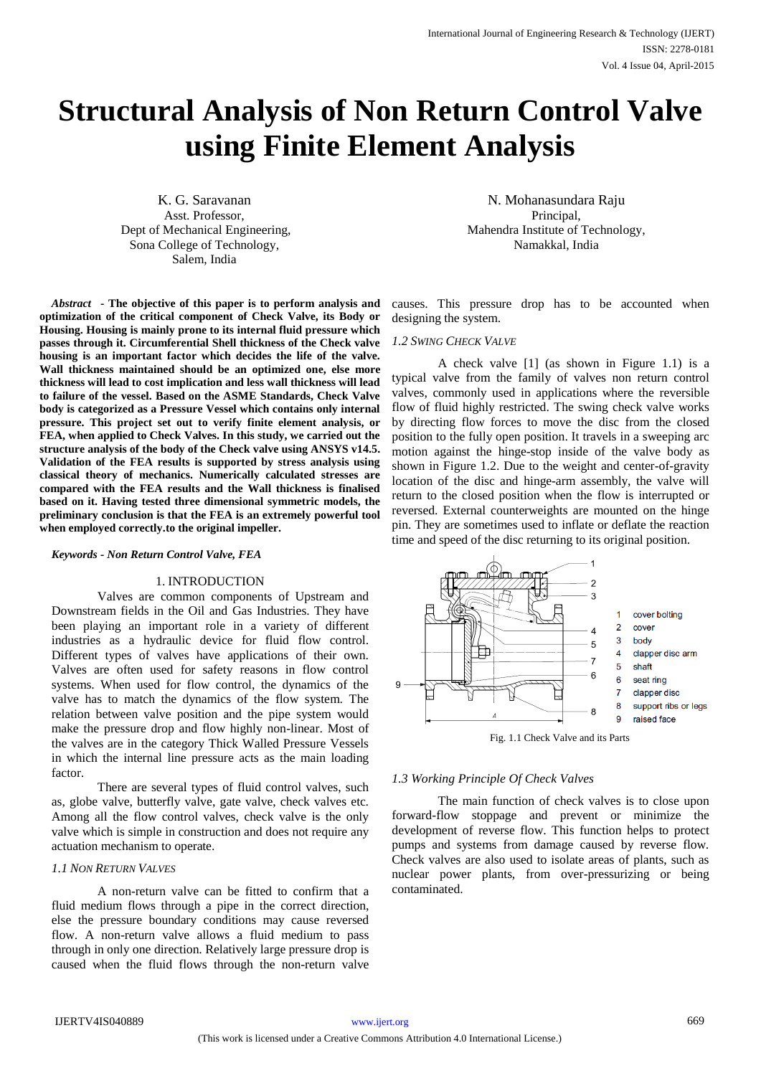# **Structural Analysis of Non Return Control Valve using Finite Element Analysis**

K. G. Saravanan Asst. Professor, Dept of Mechanical Engineering, Sona College of Technology, Salem, India

*Abstract* **- The objective of this paper is to perform analysis and optimization of the critical component of Check Valve, its Body or Housing. Housing is mainly prone to its internal fluid pressure which passes through it. Circumferential Shell thickness of the Check valve housing is an important factor which decides the life of the valve. Wall thickness maintained should be an optimized one, else more thickness will lead to cost implication and less wall thickness will lead to failure of the vessel. Based on the ASME Standards, Check Valve body is categorized as a Pressure Vessel which contains only internal pressure. This project set out to verify finite element analysis, or FEA, when applied to Check Valves. In this study, we carried out the structure analysis of the body of the Check valve using ANSYS v14.5. Validation of the FEA results is supported by stress analysis using classical theory of mechanics. Numerically calculated stresses are compared with the FEA results and the Wall thickness is finalised based on it. Having tested three dimensional symmetric models, the preliminary conclusion is that the FEA is an extremely powerful tool when employed correctly.to the original impeller.**

#### *Keywords - Non Return Control Valve, FEA*

#### 1. INTRODUCTION

Valves are common components of Upstream and Downstream fields in the Oil and Gas Industries. They have been playing an important role in a variety of different industries as a hydraulic device for fluid flow control. Different types of valves have applications of their own. Valves are often used for safety reasons in flow control systems. When used for flow control, the dynamics of the valve has to match the dynamics of the flow system. The relation between valve position and the pipe system would make the pressure drop and flow highly non-linear. Most of the valves are in the category Thick Walled Pressure Vessels in which the internal line pressure acts as the main loading factor.

There are several types of fluid control valves, such as, globe valve, butterfly valve, gate valve, check valves etc. Among all the flow control valves, check valve is the only valve which is simple in construction and does not require any actuation mechanism to operate.

# *1.1 NON RETURN VALVES*

A non-return valve can be fitted to confirm that a fluid medium flows through a pipe in the correct direction, else the pressure boundary conditions may cause reversed flow. A non-return valve allows a fluid medium to pass through in only one direction. Relatively large pressure drop is caused when the fluid flows through the non-return valve

N. Mohanasundara Raju Principal, Mahendra Institute of Technology, Namakkal, India

causes. This pressure drop has to be accounted when designing the system.

#### *1.2 SWING CHECK VALVE*

A check valve [1] (as shown in Figure 1.1) is a typical valve from the family of valves non return control valves, commonly used in applications where the reversible flow of fluid highly restricted. The swing check valve works by directing flow forces to move the disc from the closed position to the fully open position. It travels in a sweeping arc motion against the hinge-stop inside of the valve body as shown in Figure 1.2. Due to the weight and center-of-gravity location of the disc and hinge-arm assembly, the valve will return to the closed position when the flow is interrupted or reversed. External counterweights are mounted on the hinge pin. They are sometimes used to inflate or deflate the reaction time and speed of the disc returning to its original position.



## *1.3 Working Principle Of Check Valves*

The main function of check valves is to close upon forward-flow stoppage and prevent or minimize the development of reverse flow. This function helps to protect pumps and systems from damage caused by reverse flow. Check valves are also used to isolate areas of plants, such as nuclear power plants, from over-pressurizing or being contaminated.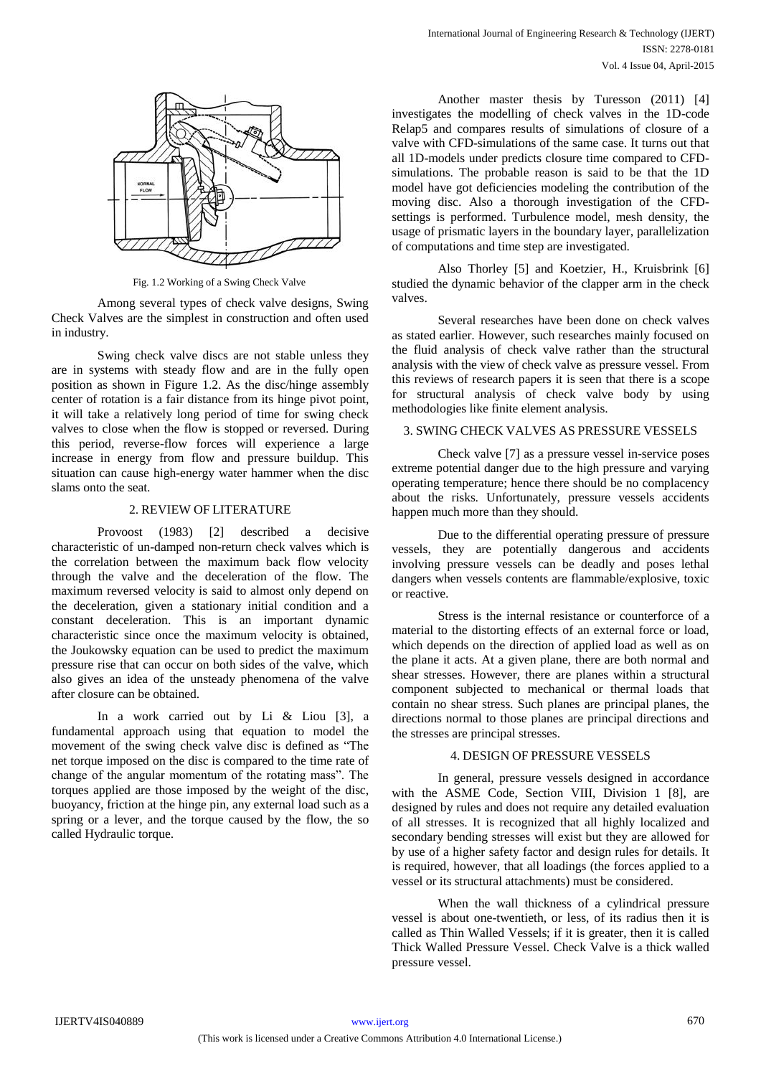

Fig. 1.2 Working of a Swing Check Valve

Among several types of check valve designs, Swing Check Valves are the simplest in construction and often used in industry.

Swing check valve discs are not stable unless they are in systems with steady flow and are in the fully open position as shown in Figure 1.2. As the disc/hinge assembly center of rotation is a fair distance from its hinge pivot point, it will take a relatively long period of time for swing check valves to close when the flow is stopped or reversed. During this period, reverse-flow forces will experience a large increase in energy from flow and pressure buildup. This situation can cause high-energy water hammer when the disc slams onto the seat.

# 2. REVIEW OF LITERATURE

Provoost (1983) [2] described a decisive characteristic of un-damped non-return check valves which is the correlation between the maximum back flow velocity through the valve and the deceleration of the flow. The maximum reversed velocity is said to almost only depend on the deceleration, given a stationary initial condition and a constant deceleration. This is an important dynamic characteristic since once the maximum velocity is obtained, the Joukowsky equation can be used to predict the maximum pressure rise that can occur on both sides of the valve, which also gives an idea of the unsteady phenomena of the valve after closure can be obtained.

In a work carried out by Li & Liou [3], a fundamental approach using that equation to model the movement of the swing check valve disc is defined as "The net torque imposed on the disc is compared to the time rate of change of the angular momentum of the rotating mass". The torques applied are those imposed by the weight of the disc, buoyancy, friction at the hinge pin, any external load such as a spring or a lever, and the torque caused by the flow, the so called Hydraulic torque.

Another master thesis by Turesson (2011) [4] investigates the modelling of check valves in the 1D-code Relap5 and compares results of simulations of closure of a valve with CFD-simulations of the same case. It turns out that all 1D-models under predicts closure time compared to CFDsimulations. The probable reason is said to be that the 1D model have got deficiencies modeling the contribution of the moving disc. Also a thorough investigation of the CFDsettings is performed. Turbulence model, mesh density, the usage of prismatic layers in the boundary layer, parallelization of computations and time step are investigated.

Also Thorley [5] and Koetzier, H., Kruisbrink [6] studied the dynamic behavior of the clapper arm in the check valves.

Several researches have been done on check valves as stated earlier. However, such researches mainly focused on the fluid analysis of check valve rather than the structural analysis with the view of check valve as pressure vessel. From this reviews of research papers it is seen that there is a scope for structural analysis of check valve body by using methodologies like finite element analysis.

# 3. SWING CHECK VALVES AS PRESSURE VESSELS

Check valve [7] as a pressure vessel in-service poses extreme potential danger due to the high pressure and varying operating temperature; hence there should be no complacency about the risks. Unfortunately, pressure vessels accidents happen much more than they should.

Due to the differential operating pressure of pressure vessels, they are potentially dangerous and accidents involving pressure vessels can be deadly and poses lethal dangers when vessels contents are flammable/explosive, toxic or reactive.

Stress is the internal resistance or counterforce of a material to the distorting effects of an external force or load, which depends on the direction of applied load as well as on the plane it acts. At a given plane, there are both normal and shear stresses. However, there are planes within a structural component subjected to mechanical or thermal loads that contain no shear stress. Such planes are principal planes, the directions normal to those planes are principal directions and the stresses are principal stresses.

# 4. DESIGN OF PRESSURE VESSELS

In general, pressure vessels designed in accordance with the ASME Code, Section VIII, Division 1 [8], are designed by rules and does not require any detailed evaluation of all stresses. It is recognized that all highly localized and secondary bending stresses will exist but they are allowed for by use of a higher safety factor and design rules for details. It is required, however, that all loadings (the forces applied to a vessel or its structural attachments) must be considered.

When the wall thickness of a cylindrical pressure vessel is about one-twentieth, or less, of its radius then it is called as Thin Walled Vessels; if it is greater, then it is called Thick Walled Pressure Vessel. Check Valve is a thick walled pressure vessel.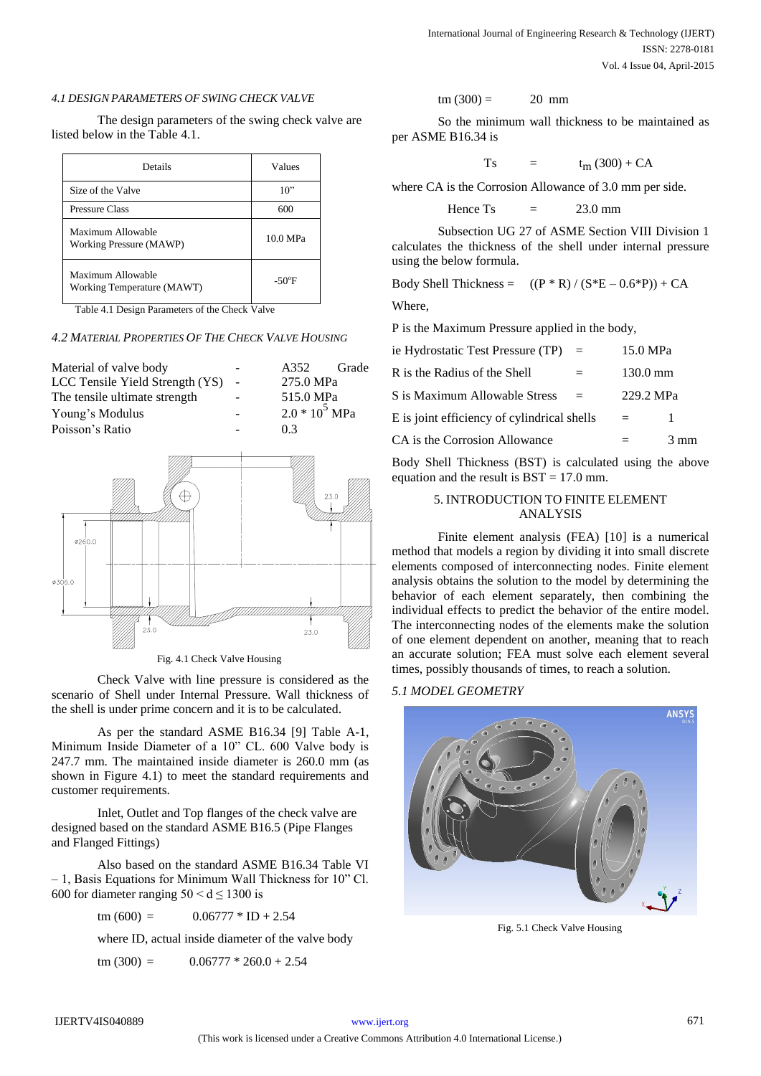#### *4.1 DESIGN PARAMETERS OF SWING CHECK VALVE*

The design parameters of the swing check valve are listed below in the Table 4.1.

| Details                                         | Values          |
|-------------------------------------------------|-----------------|
| Size of the Valve                               | 10"             |
| <b>Pressure Class</b>                           | 600             |
| Maximum Allowable<br>Working Pressure (MAWP)    | 10.0 MPa        |
| Maximum Allowable<br>Working Temperature (MAWT) | $-50^{\circ}$ F |

Table 4.1 Design Parameters of the Check Valve

*4.2 MATERIAL PROPERTIES OF THE CHECK VALVE HOUSING*



Fig. 4.1 Check Valve Housing

Check Valve with line pressure is considered as the scenario of Shell under Internal Pressure. Wall thickness of the shell is under prime concern and it is to be calculated.

As per the standard ASME B16.34 [9] Table A-1, Minimum Inside Diameter of a 10" CL. 600 Valve body is 247.7 mm. The maintained inside diameter is 260.0 mm (as shown in Figure 4.1) to meet the standard requirements and customer requirements.

Inlet, Outlet and Top flanges of the check valve are designed based on the standard ASME B16.5 (Pipe Flanges and Flanged Fittings)

Also based on the standard ASME B16.34 Table VI  $-1$ , Basis Equations for Minimum Wall Thickness for 10" Cl. 600 for diameter ranging  $50 < d \le 1300$  is

 $\tan (600) = 0.06777 * ID + 2.54$ 

where ID, actual inside diameter of the valve body

tm  $(300) = 0.06777 * 260.0 + 2.54$ 

$$
\text{tm (300)} = \qquad \qquad \text{20 mm}
$$

So the minimum wall thickness to be maintained as per ASME B16.34 is

$$
Ts = t_m (300) + CA
$$

where CA is the Corrosion Allowance of 3.0 mm per side.

$$
Hence Ts = 23.0 mm
$$

Subsection UG 27 of ASME Section VIII Division 1 calculates the thickness of the shell under internal pressure using the below formula.

Body Shell Thickness =  $((P * R) / (S * E - 0.6 * P)) + CA$ 

Where,

P is the Maximum Pressure applied in the body,

| ie Hydrostatic Test Pressure (TP)           | $=$ | 15.0 MPa           |    |
|---------------------------------------------|-----|--------------------|----|
| R is the Radius of the Shell                | $=$ | $130.0 \text{ mm}$ |    |
| S is Maximum Allowable Stress               | $=$ | 229.2 MPa          |    |
| E is joint efficiency of cylindrical shells |     | $=$                |    |
| CA is the Corrosion Allowance               |     |                    | mm |

Body Shell Thickness (BST) is calculated using the above equation and the result is  $BST = 17.0$  mm.

# 5. INTRODUCTION TO FINITE ELEMENT ANALYSIS

Finite element analysis (FEA) [10] is a numerical method that models a region by dividing it into small discrete elements composed of interconnecting nodes. Finite element analysis obtains the solution to the model by determining the behavior of each element separately, then combining the individual effects to predict the behavior of the entire model. The interconnecting nodes of the elements make the solution of one element dependent on another, meaning that to reach an accurate solution; FEA must solve each element several times, possibly thousands of times, to reach a solution.

# *5.1 MODEL GEOMETRY*



Fig. 5.1 Check Valve Housing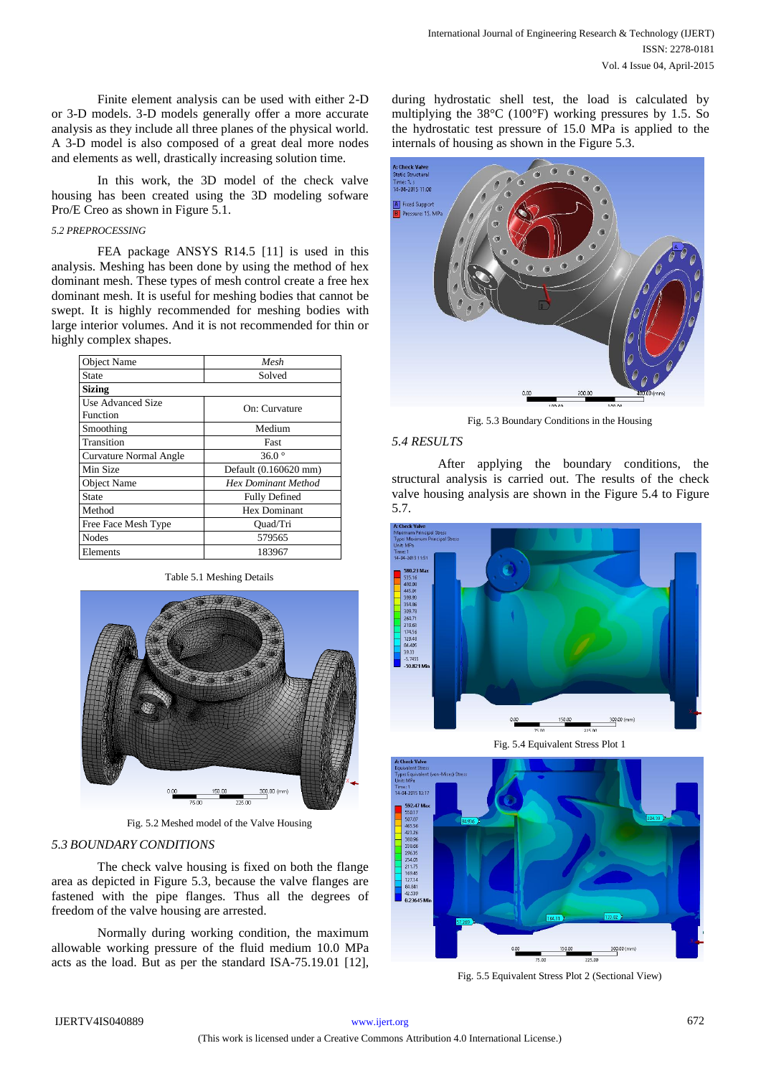Finite element analysis can be used with either 2-D or 3-D models. 3-D models generally offer a more accurate analysis as they include all three planes of the physical world. A 3-D model is also composed of a great deal more nodes and elements as well, drastically increasing solution time.

In this work, the 3D model of the check valve housing has been created using the 3D modeling sofware Pro/E Creo as shown in Figure 5.1.

# *5.2 PREPROCESSING*

FEA package ANSYS R14.5 [11] is used in this analysis. Meshing has been done by using the method of hex dominant mesh. These types of mesh control create a free hex dominant mesh. It is useful for meshing bodies that cannot be swept. It is highly recommended for meshing bodies with large interior volumes. And it is not recommended for thin or highly complex shapes.

| <b>Object Name</b>            | Mesh                       |  |
|-------------------------------|----------------------------|--|
| <b>State</b>                  | Solved                     |  |
| <b>Sizing</b>                 |                            |  |
| Use Advanced Size<br>Function | On: Curvature              |  |
| Smoothing                     | Medium                     |  |
| Transition                    | Fast                       |  |
| Curvature Normal Angle        | $36.0^\circ$               |  |
| Min Size                      | Default (0.160620 mm)      |  |
| <b>Object Name</b>            | <b>Hex Dominant Method</b> |  |
| State                         | <b>Fully Defined</b>       |  |
| Method                        | Hex Dominant               |  |
| Free Face Mesh Type           | Ouad/Tri                   |  |
| <b>Nodes</b>                  | 579565                     |  |
| Elements                      | 183967                     |  |

Table 5.1 Meshing Details



Fig. 5.2 Meshed model of the Valve Housing

## *5.3 BOUNDARY CONDITIONS*

The check valve housing is fixed on both the flange area as depicted in Figure 5.3, because the valve flanges are fastened with the pipe flanges. Thus all the degrees of freedom of the valve housing are arrested.

Normally during working condition, the maximum allowable working pressure of the fluid medium 10.0 MPa acts as the load. But as per the standard ISA-75.19.01 [12],

during hydrostatic shell test, the load is calculated by multiplying the 38°C (100°F) working pressures by 1.5. So the hydrostatic test pressure of 15.0 MPa is applied to the internals of housing as shown in the Figure 5.3.



Fig. 5.3 Boundary Conditions in the Housing

#### *5.4 RESULTS*

After applying the boundary conditions, the structural analysis is carried out. The results of the check valve housing analysis are shown in the Figure 5.4 to Figure 5.7.



Fig. 5.4 Equivalent Stress Plot 1



Fig. 5.5 Equivalent Stress Plot 2 (Sectional View)